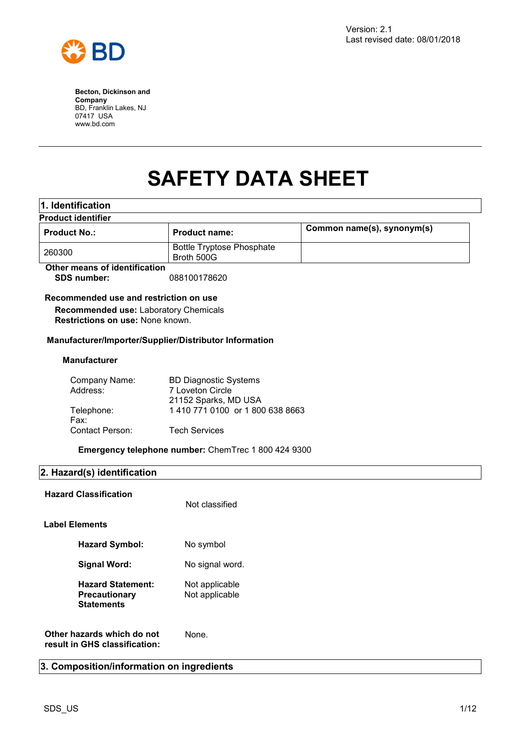

# **SAFETY DATA SHEET**

| 1. Identification                                                         |                                                     |                            |
|---------------------------------------------------------------------------|-----------------------------------------------------|----------------------------|
| <b>Product identifier</b>                                                 |                                                     |                            |
| <b>Product No.:</b>                                                       | <b>Product name:</b>                                | Common name(s), synonym(s) |
| 260300                                                                    | <b>Bottle Tryptose Phosphate</b><br>Broth 500G      |                            |
| Other means of identification                                             |                                                     |                            |
| <b>SDS number:</b>                                                        | 088100178620                                        |                            |
| Recommended use and restriction on use                                    |                                                     |                            |
| Recommended use: Laboratory Chemicals<br>Restrictions on use: None known. |                                                     |                            |
| Manufacturer/Importer/Supplier/Distributor Information                    |                                                     |                            |
| <b>Manufacturer</b>                                                       |                                                     |                            |
| Company Name:                                                             | <b>BD Diagnostic Systems</b>                        |                            |
| Address:                                                                  | 7 Loveton Circle                                    |                            |
|                                                                           | 21152 Sparks, MD USA                                |                            |
| Telephone:                                                                | 1 410 771 0100 or 1 800 638 8663                    |                            |
| Fax:                                                                      |                                                     |                            |
| Contact Person:                                                           | <b>Tech Services</b>                                |                            |
|                                                                           | Emergency telephone number: ChemTrec 1 800 424 9300 |                            |
| 2. Hazard(s) identification                                               |                                                     |                            |
| <b>Hazard Classification</b>                                              |                                                     |                            |
|                                                                           | Not classified                                      |                            |
| <b>Label Elements</b>                                                     |                                                     |                            |
| <b>Hazard Symbol:</b>                                                     | No symbol                                           |                            |
| <b>Signal Word:</b>                                                       | No signal word.                                     |                            |
| <b>Hazard Statement:</b><br>Precautionary<br><b>Statements</b>            | Not applicable<br>Not applicable                    |                            |
| Other hazards which do not<br>result in GHS classification:               | None.                                               |                            |

# **3. Composition/information on ingredients**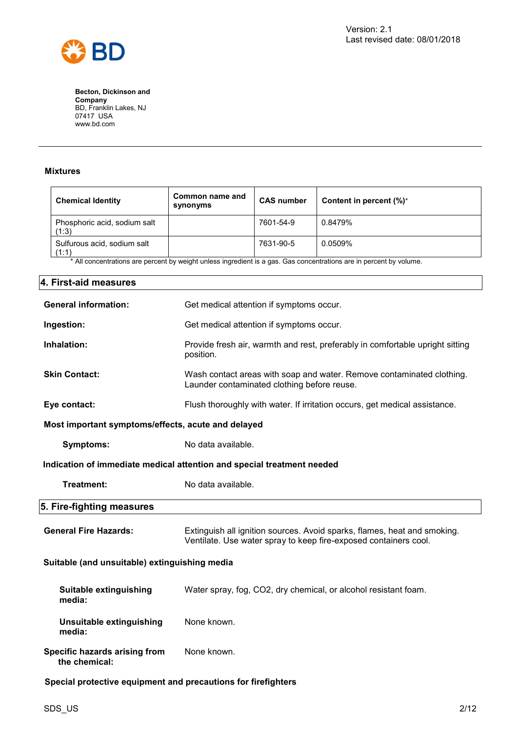

#### **Mixtures**

| <b>Chemical Identity</b>              | Common name and<br>synonyms | <b>CAS number</b> | Content in percent $(\%)^*$ |
|---------------------------------------|-----------------------------|-------------------|-----------------------------|
| Phosphoric acid, sodium salt<br>(1:3) |                             | 7601-54-9         | 0.8479%                     |
| Sulfurous acid, sodium salt<br>(1:1)  |                             | 7631-90-5         | 0.0509%                     |

\* All concentrations are percent by weight unless ingredient is a gas. Gas concentrations are in percent by volume.

| 4. First-aid measures                                         |                                                                                                                                              |  |
|---------------------------------------------------------------|----------------------------------------------------------------------------------------------------------------------------------------------|--|
| <b>General information:</b>                                   | Get medical attention if symptoms occur.                                                                                                     |  |
| Ingestion:                                                    | Get medical attention if symptoms occur.                                                                                                     |  |
| Inhalation:                                                   | Provide fresh air, warmth and rest, preferably in comfortable upright sitting<br>position.                                                   |  |
| <b>Skin Contact:</b>                                          | Wash contact areas with soap and water. Remove contaminated clothing.<br>Launder contaminated clothing before reuse.                         |  |
| Eye contact:                                                  | Flush thoroughly with water. If irritation occurs, get medical assistance.                                                                   |  |
| Most important symptoms/effects, acute and delayed            |                                                                                                                                              |  |
| <b>Symptoms:</b>                                              | No data available.                                                                                                                           |  |
|                                                               | Indication of immediate medical attention and special treatment needed                                                                       |  |
| Treatment:                                                    | No data available.                                                                                                                           |  |
| 5. Fire-fighting measures                                     |                                                                                                                                              |  |
| <b>General Fire Hazards:</b>                                  | Extinguish all ignition sources. Avoid sparks, flames, heat and smoking.<br>Ventilate. Use water spray to keep fire-exposed containers cool. |  |
|                                                               | Suitable (and unsuitable) extinguishing media                                                                                                |  |
| <b>Suitable extinguishing</b><br>media:                       | Water spray, fog, CO2, dry chemical, or alcohol resistant foam.                                                                              |  |
| <b>Unsuitable extinguishing</b><br>media:                     | None known.                                                                                                                                  |  |
| Specific hazards arising from<br>the chemical:                | None known.                                                                                                                                  |  |
| Special protective equipment and precautions for firefighters |                                                                                                                                              |  |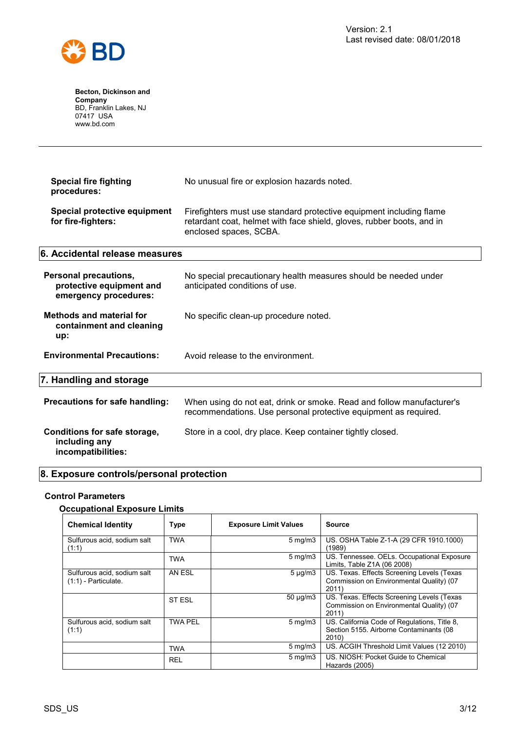

| <b>Special fire fighting</b><br>procedures:                                       | No unusual fire or explosion hazards noted.                                                                                                                            |
|-----------------------------------------------------------------------------------|------------------------------------------------------------------------------------------------------------------------------------------------------------------------|
| Special protective equipment<br>for fire-fighters:                                | Firefighters must use standard protective equipment including flame<br>retardant coat, helmet with face shield, gloves, rubber boots, and in<br>enclosed spaces, SCBA. |
| 6. Accidental release measures                                                    |                                                                                                                                                                        |
| <b>Personal precautions,</b><br>protective equipment and<br>emergency procedures: | No special precautionary health measures should be needed under<br>anticipated conditions of use.                                                                      |
| <b>Methods and material for</b><br>containment and cleaning<br>up:                | No specific clean-up procedure noted.                                                                                                                                  |
| <b>Environmental Precautions:</b>                                                 | Avoid release to the environment.                                                                                                                                      |
| 7. Handling and storage                                                           |                                                                                                                                                                        |
| Precautions for safe handling:                                                    | When using do not eat, drink or smoke. Read and follow manufacturer's<br>recommendations. Use personal protective equipment as required.                               |
| Conditions for safe storage,<br>including any<br>incompatibilities:               | Store in a cool, dry place. Keep container tightly closed.                                                                                                             |

# **8. Exposure controls/personal protection**

#### **Control Parameters**

#### **Occupational Exposure Limits**

| <b>Chemical Identity</b>                              | <b>Type</b>    | <b>Exposure Limit Values</b> | <b>Source</b>                                                                                    |
|-------------------------------------------------------|----------------|------------------------------|--------------------------------------------------------------------------------------------------|
| Sulfurous acid, sodium salt<br>(1:1)                  | <b>TWA</b>     | $5 \,\mathrm{mq/m}$          | US. OSHA Table Z-1-A (29 CFR 1910.1000)<br>(1989)                                                |
|                                                       | <b>TWA</b>     | $5 \,\mathrm{mg/m}$          | US. Tennessee. OELs. Occupational Exposure<br>Limits, Table Z1A (06 2008)                        |
| Sulfurous acid, sodium salt<br>$(1:1)$ - Particulate. | AN ESL         | $5 \mu g/m3$                 | US. Texas. Effects Screening Levels (Texas<br>Commission on Environmental Quality) (07<br>2011)  |
|                                                       | ST ESL         | $50 \mu q/m3$                | US. Texas. Effects Screening Levels (Texas<br>Commission on Environmental Quality) (07<br>2011)  |
| Sulfurous acid, sodium salt<br>(1:1)                  | <b>TWA PEL</b> | $5 \,\mathrm{mg/m}$          | US. California Code of Regulations, Title 8,<br>Section 5155. Airborne Contaminants (08<br>2010) |
|                                                       | <b>TWA</b>     | $5 \,\mathrm{mg/m}$          | US. ACGIH Threshold Limit Values (12 2010)                                                       |
|                                                       | <b>REL</b>     | $5 \,\mathrm{mq/m}$ 3        | US. NIOSH: Pocket Guide to Chemical<br>Hazards (2005)                                            |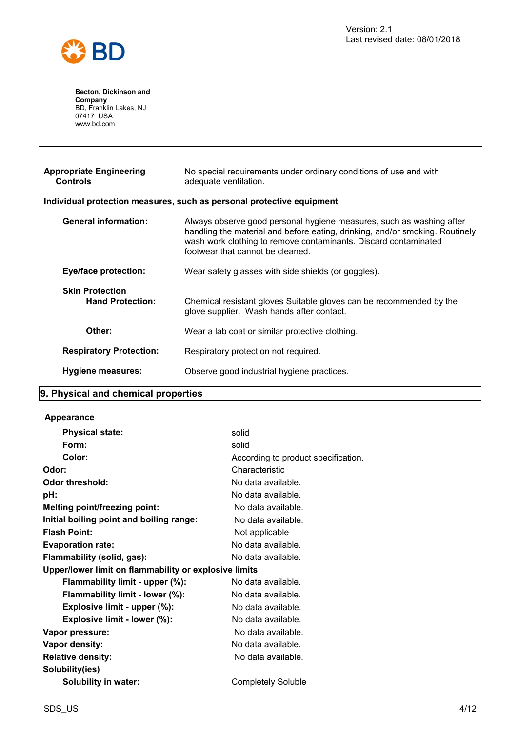

| <b>Appropriate Engineering</b><br><b>Controls</b> | No special requirements under ordinary conditions of use and with<br>adequate ventilation.                                                                                                                                                                  |
|---------------------------------------------------|-------------------------------------------------------------------------------------------------------------------------------------------------------------------------------------------------------------------------------------------------------------|
|                                                   | Individual protection measures, such as personal protective equipment                                                                                                                                                                                       |
| <b>General information:</b>                       | Always observe good personal hygiene measures, such as washing after<br>handling the material and before eating, drinking, and/or smoking. Routinely<br>wash work clothing to remove contaminants. Discard contaminated<br>footwear that cannot be cleaned. |
| <b>Eye/face protection:</b>                       | Wear safety glasses with side shields (or goggles).                                                                                                                                                                                                         |
| <b>Skin Protection</b><br><b>Hand Protection:</b> | Chemical resistant gloves Suitable gloves can be recommended by the<br>glove supplier. Wash hands after contact.                                                                                                                                            |
| Other:                                            | Wear a lab coat or similar protective clothing.                                                                                                                                                                                                             |
| <b>Respiratory Protection:</b>                    | Respiratory protection not required.                                                                                                                                                                                                                        |
| Hygiene measures:                                 | Observe good industrial hygiene practices.                                                                                                                                                                                                                  |
|                                                   |                                                                                                                                                                                                                                                             |

## **9. Physical and chemical properties**

#### **Appearance**

| <b>Physical state:</b>                                | solid                               |
|-------------------------------------------------------|-------------------------------------|
| Form:                                                 | solid                               |
| Color:                                                | According to product specification. |
| Odor:                                                 | Characteristic                      |
| Odor threshold:                                       | No data available.                  |
| pH:                                                   | No data available.                  |
| <b>Melting point/freezing point:</b>                  | No data available.                  |
| Initial boiling point and boiling range:              | No data available.                  |
| <b>Flash Point:</b>                                   | Not applicable                      |
| <b>Evaporation rate:</b>                              | No data available.                  |
| Flammability (solid, gas):                            | No data available.                  |
| Upper/lower limit on flammability or explosive limits |                                     |
| Flammability limit - upper (%):                       | No data available.                  |
| Flammability limit - lower (%):                       | No data available.                  |
| Explosive limit - upper (%):                          | No data available.                  |
| Explosive limit - lower (%):                          | No data available.                  |
| Vapor pressure:                                       | No data available.                  |
| Vapor density:                                        | No data available.                  |
| <b>Relative density:</b>                              | No data available.                  |
| Solubility(ies)                                       |                                     |
| <b>Solubility in water:</b>                           | Completely Soluble                  |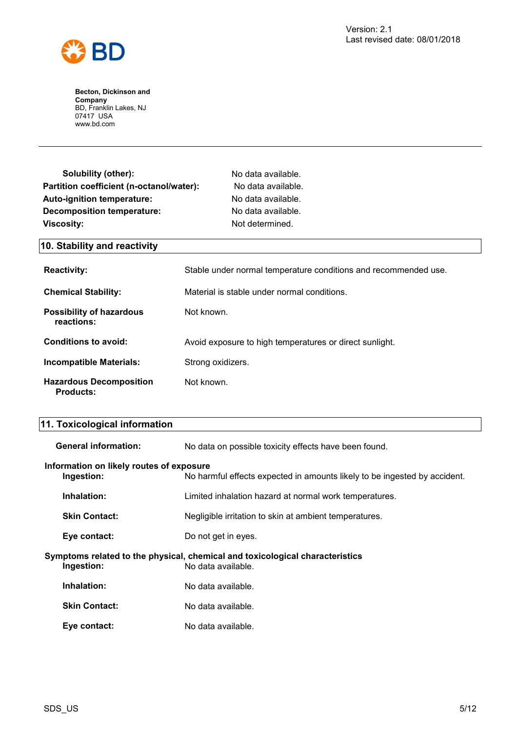

| Solubility (other):                      | No data available. |
|------------------------------------------|--------------------|
| Partition coefficient (n-octanol/water): | No data available. |
| Auto-ignition temperature:               | No data available. |
| <b>Decomposition temperature:</b>        | No data available. |
| <b>Viscosity:</b>                        | Not determined.    |

## **10. Stability and reactivity**

| <b>Reactivity:</b>                                 | Stable under normal temperature conditions and recommended use. |
|----------------------------------------------------|-----------------------------------------------------------------|
| <b>Chemical Stability:</b>                         | Material is stable under normal conditions.                     |
| Possibility of hazardous<br>reactions:             | Not known.                                                      |
| Conditions to avoid:                               | Avoid exposure to high temperatures or direct sunlight.         |
| <b>Incompatible Materials:</b>                     | Strong oxidizers.                                               |
| <b>Hazardous Decomposition</b><br><b>Products:</b> | Not known.                                                      |

# **11. Toxicological information**

| <b>General information:</b>                            | No data on possible toxicity effects have been found.                                              |
|--------------------------------------------------------|----------------------------------------------------------------------------------------------------|
| Information on likely routes of exposure<br>Ingestion: | No harmful effects expected in amounts likely to be ingested by accident.                          |
| Inhalation:                                            | Limited inhalation hazard at normal work temperatures.                                             |
| <b>Skin Contact:</b>                                   | Negligible irritation to skin at ambient temperatures.                                             |
| Eye contact:                                           | Do not get in eyes.                                                                                |
| Ingestion:                                             | Symptoms related to the physical, chemical and toxicological characteristics<br>No data available. |
| Inhalation:                                            | No data available.                                                                                 |
| <b>Skin Contact:</b>                                   | No data available.                                                                                 |
| Eye contact:                                           | No data available.                                                                                 |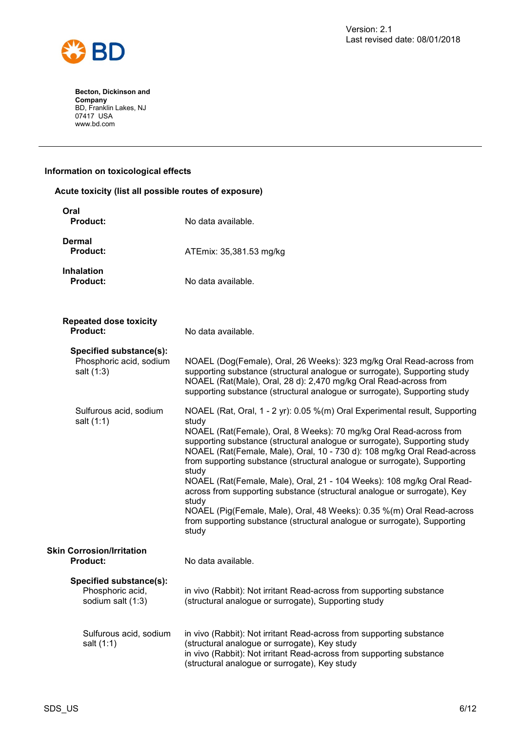

#### **Information on toxicological effects**

| Acute toxicity (list all possible routes of exposure)            |                                                                                                                                                                                                                                                                                                                                                                                                                                                                                                                                                                                                                                                                                                                                     |
|------------------------------------------------------------------|-------------------------------------------------------------------------------------------------------------------------------------------------------------------------------------------------------------------------------------------------------------------------------------------------------------------------------------------------------------------------------------------------------------------------------------------------------------------------------------------------------------------------------------------------------------------------------------------------------------------------------------------------------------------------------------------------------------------------------------|
| Oral<br><b>Product:</b>                                          | No data available.                                                                                                                                                                                                                                                                                                                                                                                                                                                                                                                                                                                                                                                                                                                  |
| <b>Dermal</b><br><b>Product:</b>                                 | ATEmix: 35,381.53 mg/kg                                                                                                                                                                                                                                                                                                                                                                                                                                                                                                                                                                                                                                                                                                             |
| <b>Inhalation</b><br><b>Product:</b>                             | No data available.                                                                                                                                                                                                                                                                                                                                                                                                                                                                                                                                                                                                                                                                                                                  |
| <b>Repeated dose toxicity</b><br><b>Product:</b>                 | No data available.                                                                                                                                                                                                                                                                                                                                                                                                                                                                                                                                                                                                                                                                                                                  |
| Specified substance(s):<br>Phosphoric acid, sodium<br>salt (1:3) | NOAEL (Dog(Female), Oral, 26 Weeks): 323 mg/kg Oral Read-across from<br>supporting substance (structural analogue or surrogate), Supporting study<br>NOAEL (Rat(Male), Oral, 28 d): 2,470 mg/kg Oral Read-across from<br>supporting substance (structural analogue or surrogate), Supporting study                                                                                                                                                                                                                                                                                                                                                                                                                                  |
| Sulfurous acid, sodium<br>salt (1:1)                             | NOAEL (Rat, Oral, 1 - 2 yr): 0.05 %(m) Oral Experimental result, Supporting<br>study<br>NOAEL (Rat(Female), Oral, 8 Weeks): 70 mg/kg Oral Read-across from<br>supporting substance (structural analogue or surrogate), Supporting study<br>NOAEL (Rat(Female, Male), Oral, 10 - 730 d): 108 mg/kg Oral Read-across<br>from supporting substance (structural analogue or surrogate), Supporting<br>study<br>NOAEL (Rat(Female, Male), Oral, 21 - 104 Weeks): 108 mg/kg Oral Read-<br>across from supporting substance (structural analogue or surrogate), Key<br>study<br>NOAEL (Pig(Female, Male), Oral, 48 Weeks): 0.35 %(m) Oral Read-across<br>from supporting substance (structural analogue or surrogate), Supporting<br>study |
| <b>Skin Corrosion/Irritation</b><br><b>Product:</b>              | No data available.                                                                                                                                                                                                                                                                                                                                                                                                                                                                                                                                                                                                                                                                                                                  |
| Specified substance(s):<br>Phosphoric acid,<br>sodium salt (1:3) | in vivo (Rabbit): Not irritant Read-across from supporting substance<br>(structural analogue or surrogate), Supporting study                                                                                                                                                                                                                                                                                                                                                                                                                                                                                                                                                                                                        |
| Sulfurous acid, sodium<br>salt (1:1)                             | in vivo (Rabbit): Not irritant Read-across from supporting substance<br>(structural analogue or surrogate), Key study<br>in vivo (Rabbit): Not irritant Read-across from supporting substance<br>(structural analogue or surrogate), Key study                                                                                                                                                                                                                                                                                                                                                                                                                                                                                      |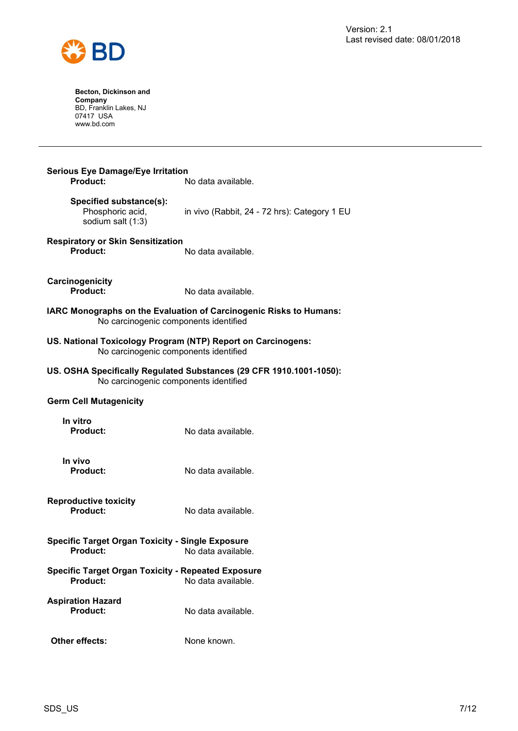

| <b>Serious Eye Damage/Eye Irritation</b><br><b>Product:</b>                                           | No data available.                                                  |
|-------------------------------------------------------------------------------------------------------|---------------------------------------------------------------------|
| Specified substance(s):<br>Phosphoric acid,<br>sodium salt (1:3)                                      | in vivo (Rabbit, 24 - 72 hrs): Category 1 EU                        |
| <b>Respiratory or Skin Sensitization</b><br>Product:                                                  | No data available.                                                  |
| Carcinogenicity<br>Product:                                                                           | No data available.                                                  |
| No carcinogenic components identified                                                                 | IARC Monographs on the Evaluation of Carcinogenic Risks to Humans:  |
| US. National Toxicology Program (NTP) Report on Carcinogens:<br>No carcinogenic components identified |                                                                     |
| No carcinogenic components identified                                                                 | US. OSHA Specifically Regulated Substances (29 CFR 1910.1001-1050): |
| <b>Germ Cell Mutagenicity</b>                                                                         |                                                                     |
|                                                                                                       |                                                                     |
| In vitro<br><b>Product:</b>                                                                           | No data available.                                                  |
| In vivo<br><b>Product:</b>                                                                            | No data available.                                                  |
| <b>Reproductive toxicity</b><br>Product:                                                              | No data available.                                                  |
| <b>Specific Target Organ Toxicity - Single Exposure</b><br>Product:                                   | No data available.                                                  |
| <b>Specific Target Organ Toxicity - Repeated Exposure</b><br><b>Product:</b>                          | No data available.                                                  |
| <b>Aspiration Hazard</b><br>Product:                                                                  | No data available.                                                  |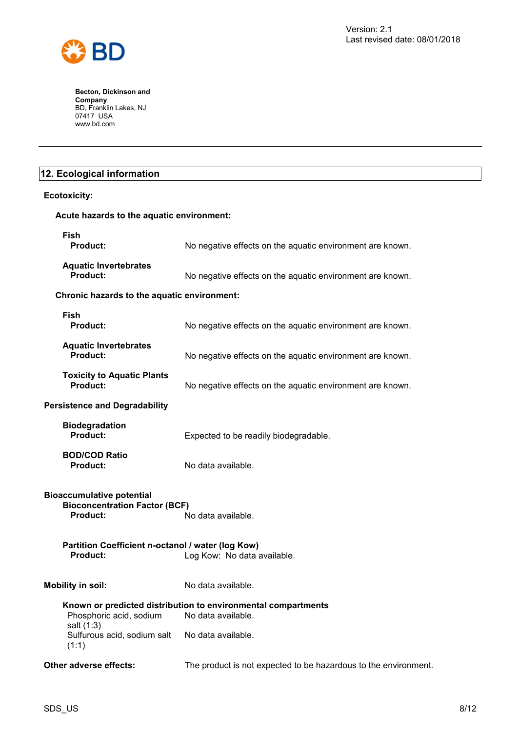

## **12. Ecological information**

| <b>Ecotoxicity:</b>                                                                                               |                                                                                     |  |
|-------------------------------------------------------------------------------------------------------------------|-------------------------------------------------------------------------------------|--|
| Acute hazards to the aquatic environment:                                                                         |                                                                                     |  |
| <b>Fish</b><br>Product:                                                                                           | No negative effects on the aquatic environment are known.                           |  |
| <b>Aquatic Invertebrates</b><br>Product:                                                                          | No negative effects on the aquatic environment are known.                           |  |
| Chronic hazards to the aquatic environment:                                                                       |                                                                                     |  |
| <b>Fish</b><br><b>Product:</b>                                                                                    | No negative effects on the aquatic environment are known.                           |  |
| <b>Aquatic Invertebrates</b><br>Product:                                                                          | No negative effects on the aquatic environment are known.                           |  |
| <b>Toxicity to Aquatic Plants</b><br><b>Product:</b>                                                              | No negative effects on the aquatic environment are known.                           |  |
| <b>Persistence and Degradability</b>                                                                              |                                                                                     |  |
| <b>Biodegradation</b><br>Product:                                                                                 | Expected to be readily biodegradable.                                               |  |
| <b>BOD/COD Ratio</b><br><b>Product:</b>                                                                           | No data available.                                                                  |  |
| <b>Bioaccumulative potential</b><br><b>Bioconcentration Factor (BCF)</b><br><b>Product:</b><br>No data available. |                                                                                     |  |
| Partition Coefficient n-octanol / water (log Kow)<br><b>Product:</b><br>Log Kow: No data available.               |                                                                                     |  |
| <b>Mobility in soil:</b>                                                                                          | No data available.                                                                  |  |
| Phosphoric acid, sodium<br>salt (1:3)                                                                             | Known or predicted distribution to environmental compartments<br>No data available. |  |
| Sulfurous acid, sodium salt                                                                                       | No data available.                                                                  |  |

**Other adverse effects:** The product is not expected to be hazardous to the environment.

(1:1)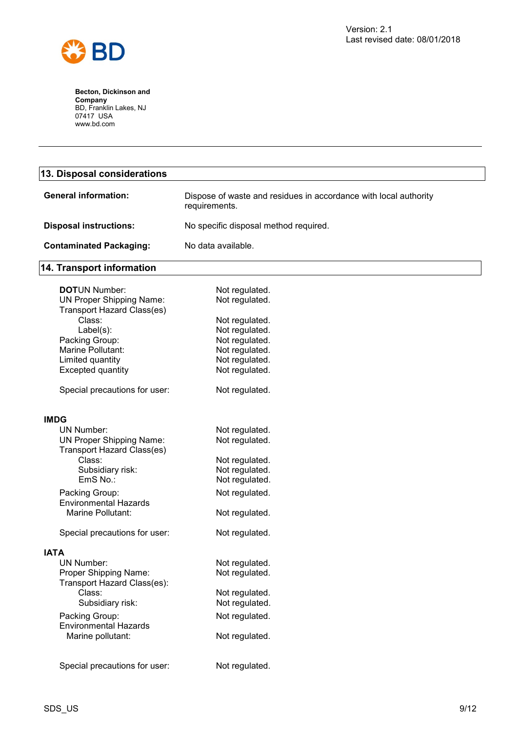

| 13. Disposal considerations                                          |                                                                                   |  |
|----------------------------------------------------------------------|-----------------------------------------------------------------------------------|--|
| <b>General information:</b>                                          | Dispose of waste and residues in accordance with local authority<br>requirements. |  |
| <b>Disposal instructions:</b>                                        | No specific disposal method required.                                             |  |
| <b>Contaminated Packaging:</b>                                       | No data available.                                                                |  |
| 14. Transport information                                            |                                                                                   |  |
| <b>DOTUN Number:</b>                                                 |                                                                                   |  |
|                                                                      | Not regulated.                                                                    |  |
| <b>UN Proper Shipping Name:</b><br><b>Transport Hazard Class(es)</b> | Not regulated.                                                                    |  |
| Class:                                                               | Not regulated.                                                                    |  |
| $Label(s)$ :                                                         | Not regulated.                                                                    |  |
| Packing Group:                                                       | Not regulated.                                                                    |  |
| Marine Pollutant:                                                    | Not regulated.                                                                    |  |
| Limited quantity                                                     | Not regulated.                                                                    |  |
| <b>Excepted quantity</b>                                             | Not regulated.                                                                    |  |
| Special precautions for user:                                        | Not regulated.                                                                    |  |
| <b>IMDG</b>                                                          |                                                                                   |  |
| <b>UN Number:</b>                                                    | Not regulated.                                                                    |  |
| <b>UN Proper Shipping Name:</b>                                      | Not regulated.                                                                    |  |
| <b>Transport Hazard Class(es)</b>                                    |                                                                                   |  |
| Class:                                                               | Not regulated.                                                                    |  |
| Subsidiary risk:                                                     | Not regulated.                                                                    |  |
| EmS No.:                                                             | Not regulated.                                                                    |  |
|                                                                      |                                                                                   |  |
| Packing Group:                                                       | Not regulated.                                                                    |  |
| <b>Environmental Hazards</b>                                         |                                                                                   |  |
| Marine Pollutant:                                                    | Not regulated.                                                                    |  |
| Special precautions for user:                                        | Not regulated.                                                                    |  |
| <b>IATA</b>                                                          |                                                                                   |  |
| <b>UN Number:</b>                                                    | Not regulated.                                                                    |  |
| Proper Shipping Name:                                                | Not regulated.                                                                    |  |
| Transport Hazard Class(es):                                          |                                                                                   |  |
| Class:                                                               | Not regulated.                                                                    |  |
| Subsidiary risk:                                                     | Not regulated.                                                                    |  |
|                                                                      |                                                                                   |  |
| Packing Group:                                                       | Not regulated.                                                                    |  |

Environmental Hazards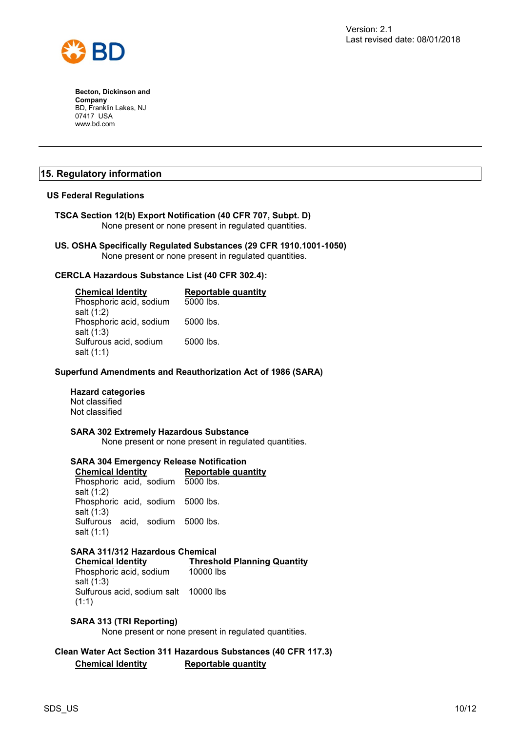

#### **15. Regulatory information**

#### **US Federal Regulations**

**TSCA Section 12(b) Export Notification (40 CFR 707, Subpt. D)** None present or none present in regulated quantities.

**US. OSHA Specifically Regulated Substances (29 CFR 1910.1001-1050)** None present or none present in regulated quantities.

#### **CERCLA Hazardous Substance List (40 CFR 302.4):**

| <b>Chemical Identity</b> | Reportable quantity |
|--------------------------|---------------------|
| Phosphoric acid, sodium  | 5000 lbs.           |
| salt (1:2)               |                     |
| Phosphoric acid, sodium  | 5000 lbs.           |
| salt (1:3)               |                     |
| Sulfurous acid, sodium   | 5000 lbs.           |
| salt (1:1)               |                     |

#### **Superfund Amendments and Reauthorization Act of 1986 (SARA)**

#### **Hazard categories**

Not classified Not classified

#### **SARA 302 Extremely Hazardous Substance**

None present or none present in regulated quantities.

#### **SARA 304 Emergency Release Notification**

**Chemical Identity Reportable quantity** Phosphoric acid, sodium 5000 lbs. salt (1:2) Phosphoric acid, sodium 5000 lbs. salt (1:3) Sulfurous acid, sodium 5000 lbs. salt (1:1)

#### **SARA 311/312 Hazardous Chemical**

**Chemical Identity Threshold Planning Quantity** Phosphoric acid, sodium 10000 lbs

salt (1:3) Sulfurous acid, sodium salt 10000 lbs (1:1)

#### **SARA 313 (TRI Reporting)**

None present or none present in regulated quantities.

#### **Clean Water Act Section 311 Hazardous Substances (40 CFR 117.3) Chemical Identity Reportable quantity**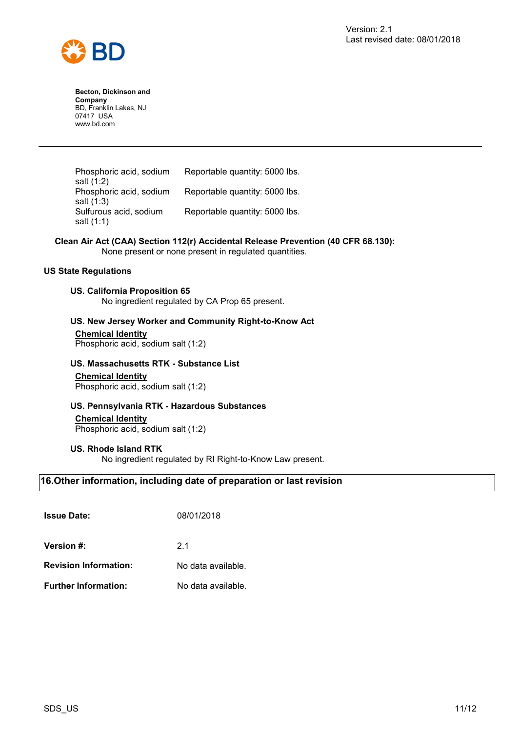



Phosphoric acid, sodium salt (1:2) Reportable quantity: 5000 lbs. Phosphoric acid, sodium salt (1:3) Reportable quantity: 5000 lbs. Sulfurous acid, sodium salt (1:1) Reportable quantity: 5000 lbs.

#### **Clean Air Act (CAA) Section 112(r) Accidental Release Prevention (40 CFR 68.130):**

None present or none present in regulated quantities.

#### **US State Regulations**

#### **US. California Proposition 65**

No ingredient regulated by CA Prop 65 present.

#### **US. New Jersey Worker and Community Right-to-Know Act**

**Chemical Identity** Phosphoric acid, sodium salt (1:2)

#### **US. Massachusetts RTK - Substance List**

**Chemical Identity** Phosphoric acid, sodium salt (1:2)

#### **US. Pennsylvania RTK - Hazardous Substances**

#### **Chemical Identity**

Phosphoric acid, sodium salt (1:2)

#### **US. Rhode Island RTK**

No ingredient regulated by RI Right-to-Know Law present.

#### **16.Other information, including date of preparation or last revision**

| <b>Issue Date:</b>           | 08/01/2018         |
|------------------------------|--------------------|
| <b>Version #:</b>            | 21                 |
| <b>Revision Information:</b> | No data available. |
| <b>Further Information:</b>  | No data available. |